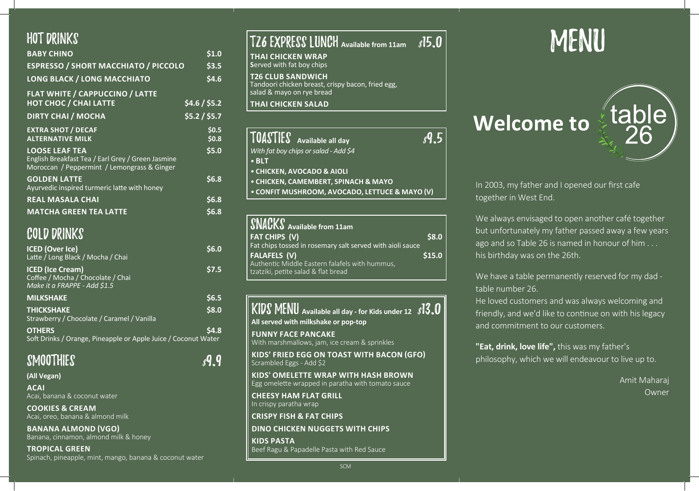| <b>HOT DRINKS</b>                                                                                                         |                  |
|---------------------------------------------------------------------------------------------------------------------------|------------------|
| <b>BABY CHINO</b>                                                                                                         | \$1.0            |
| <b>ESPRESSO / SHORT MACCHIATO / PICCOLO</b>                                                                               | \$3.5            |
| <b>LONG BLACK / LONG MACCHIATO</b>                                                                                        | 54.6             |
| <b>FLAT WHITE / CAPPUCCINO / LATTE</b>                                                                                    |                  |
| <b>HOT CHOC / CHAI LATTE</b>                                                                                              | \$4.6 / \$5.2\$  |
| <b>DIRTY CHAI / MOCHA</b>                                                                                                 | \$5.2 / \$5.7    |
| <b>EXTRA SHOT / DECAF</b><br><b>ALTERNATIVE MILK</b>                                                                      | \$0.5<br>\$0.8\$ |
| <b>LOOSE LEAF TEA</b><br>English Breakfast Tea / Earl Grey / Green Jasmine<br>Moroccan / Peppermint / Lemongrass & Ginger | \$5.0            |
| <b>GOLDEN LATTE</b><br>Ayurvedic inspired turmeric latte with honey                                                       | \$6.8            |
| <b>REAL MASALA CHAI</b>                                                                                                   | \$6.8            |
| <b>MATCHA GREEN TEA LATTE</b>                                                                                             | \$6.8            |
| <b>COLD DRINKS</b>                                                                                                        |                  |
| <b>ICED (Over Ice)</b><br>Latte / Long Black / Mocha / Chai                                                               | \$6.0            |
| <b>ICED (Ice Cream)</b><br>Coffee / Mocha / Chocolate / Chai<br>Make it a FRAPPE - Add \$1.5                              | \$7.5            |
| <b>MILKSHAKE</b>                                                                                                          | \$6.5            |
| <b>THICKSHAKE</b>                                                                                                         | \$8.0            |

Strawberry / Chocolate / Caramel / Vanilla

**OTHERS** \$4.8 Soft Drinks / Orange, Pineapple or Apple Juice / Coconut Water

| SMOOTHIES | $s$ <sup>q</sup> .9 |  |  |
|-----------|---------------------|--|--|
|-----------|---------------------|--|--|

**(All Vegan)** 

**Acai**  Acai, banana & coconut water

**Cookies & Cream** Acai, oreo, banana & almond milk

**Banana Almond (VGO)** Banana, cinnamon, almond milk & honey

**Tropical Green** Spinach, pineapple, mint, mango, banana & coconut water

| <b>TZ6 EXPRESS LUNCH</b> Available from 11am                                                               | s15.0 |
|------------------------------------------------------------------------------------------------------------|-------|
| <b>THAI CHICKEN WRAP</b><br>Served with fat boy chips                                                      |       |
| <b>T26 CLUB SANDWICH</b><br>Tandoori chicken breast, crispy bacon, fried egg,<br>salad & mayo on rye bread |       |
| <b>THAI CHICKEN SALAD</b>                                                                                  |       |
|                                                                                                            |       |
| TOASTIES Available all day<br>With fat boy chips or salad - Add \$4                                        |       |
| $\bullet$ BLT                                                                                              |       |
| • CHICKEN, AVOCADO & AIOLI                                                                                 |       |
| • CHICKEN, CAMEMBERT, SPINACH & MAYO                                                                       |       |

*•* **Confit Mushroom, Avocado, Lettuce & Mayo (V)** 

| <b>SNACKS</b> Available from 11am                         |             |
|-----------------------------------------------------------|-------------|
| <b>FAT CHIPS (V)</b>                                      | <b>S8.0</b> |
| Fat chips tossed in rosemary salt served with aioli sauce |             |
| <b>FALAFELS (V)</b>                                       | \$15.0      |
| Authentic Middle Eastern falafels with hummus,            |             |
| tzatziki, petite salad & flat bread                       |             |

KIDS MENU Available all day - for Kids under 12 813.0 **All served with milkshake or pop-top Funny Face Pancake** With marshmallows, jam, ice cream & sprinkles **Kids' Fried Egg on Toast with Bacon (GFO)** 

Scrambled Eggs - Add \$2

**Kids' Omelette Wrap with Hash Brown** Egg omelette wrapped in paratha with tomato sauce

**Cheesy Ham Flat Grill**  In crispy paratha wrap

**Crispy Fish & Fat Chips**

**Dino Chicken Nuggets with Chips**

**Kids Pasta** Beef Ragu & Papadelle Pasta with Red Sauce

# MENU

# **Welcome to**

In 2003, my father and I opened our first cafe together in West End.

We always envisaged to open another café together but unfortunately my father passed away a few years ago and so Table 26 is named in honour of him . . . his birthday was on the 26th.

We have a table permanently reserved for my dad table number 26.

He loved customers and was always welcoming and friendly, and we'd like to continue on with his legacy and commitment to our customers.

**"Eat, drink, love life",** this was my father's philosophy, which we will endeavour to live up to.

> Amit Maharaj Owner

SCM